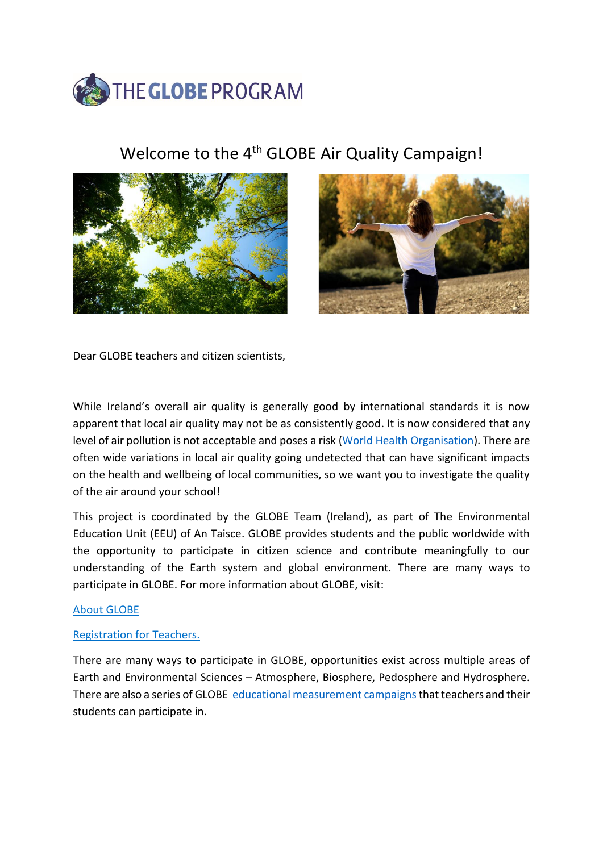

# Welcome to the 4<sup>th</sup> GLOBE Air Quality Campaign!





Dear GLOBE teachers and citizen scientists,

While Ireland's overall air quality is generally good by international standards it is now apparent that local air quality may not be as consistently good. It is now considered that any level of air pollution is not acceptable and poses a risk [\(World Health Organisation\)](https://www.who.int/health-topics/air-pollution#tab=tab_1). There are often wide variations in local air quality going undetected that can have significant impacts on the health and wellbeing of local communities, so we want you to investigate the quality of the air around your school!

This project is coordinated by the GLOBE Team (Ireland), as part of The Environmental Education Unit (EEU) of An Taisce. GLOBE provides students and the public worldwide with the opportunity to participate in citizen science and contribute meaningfully to our understanding of the Earth system and global environment. There are many ways to participate in GLOBE. For more information about GLOBE, visit:

### [About GLOBE](https://www.globe.gov/about/overview)

### [Registration for Teachers.](https://www.globe.gov/join/become-a-globe-teacher/create-a-globe-teacher-account)

There are many ways to participate in GLOBE, opportunities exist across multiple areas of Earth and Environmental Sciences – Atmosphere, Biosphere, Pedosphere and Hydrosphere. There are also a series of GLOBE [educational measurement campaigns](https://www.globe.gov/do-globe/measurement-campaigns) that teachers and their students can participate in.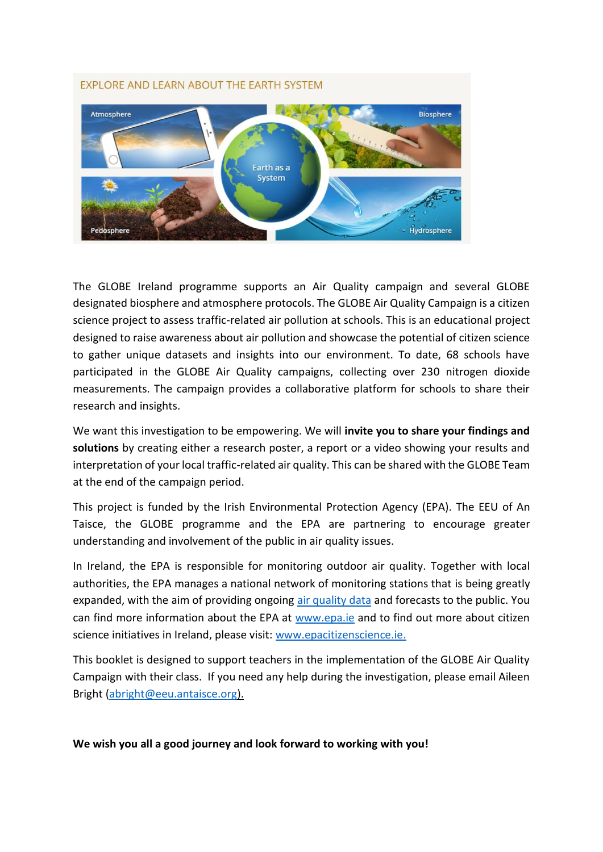# **EXPLORE AND LEARN ABOUT THE EARTH SYSTEM** Atmosphere **Biosphere** Earth as a **System** Pedosphere **Hydrosphere**

The GLOBE Ireland programme supports an Air Quality campaign and several GLOBE designated biosphere and atmosphere protocols. The GLOBE Air Quality Campaign is a citizen science project to assess traffic-related air pollution at schools. This is an educational project designed to raise awareness about air pollution and showcase the potential of citizen science to gather unique datasets and insights into our environment. To date, 68 schools have participated in the GLOBE Air Quality campaigns, collecting over 230 nitrogen dioxide measurements. The campaign provides a collaborative platform for schools to share their research and insights.

We want this investigation to be empowering. We will **invite you to share your findings and solutions** by creating either a research poster, a report or a video showing your results and interpretation of your local traffic-related air quality. This can be shared with the GLOBE Team at the end of the campaign period.

This project is funded by the Irish Environmental Protection Agency (EPA). The EEU of An Taisce, the GLOBE programme and the EPA are partnering to encourage greater understanding and involvement of the public in air quality issues.

In Ireland, the EPA is responsible for monitoring outdoor air quality. Together with local authorities, the EPA manages a national network of monitoring stations that is being greatly expanded, with the aim of providing ongoing [air quality data](http://www.epa.ie/air/quality/data/) and forecasts to the public. You can find more information about the EPA at [www.epa.ie](http://www.epa.ie/) and to find out more about citizen science initiatives in Ireland, please visit: [www.epacitizenscience.ie.](http://www.epacitizenscience.ie/)

This booklet is designed to support teachers in the implementation of the GLOBE Air Quality Campaign with their class. If you need any help during the investigation, please email Aileen Bright [\(abright@eeu.antaisce.org\)](mailto:abright@eeu.antaisce.org).

**We wish you all a good journey and look forward to working with you!**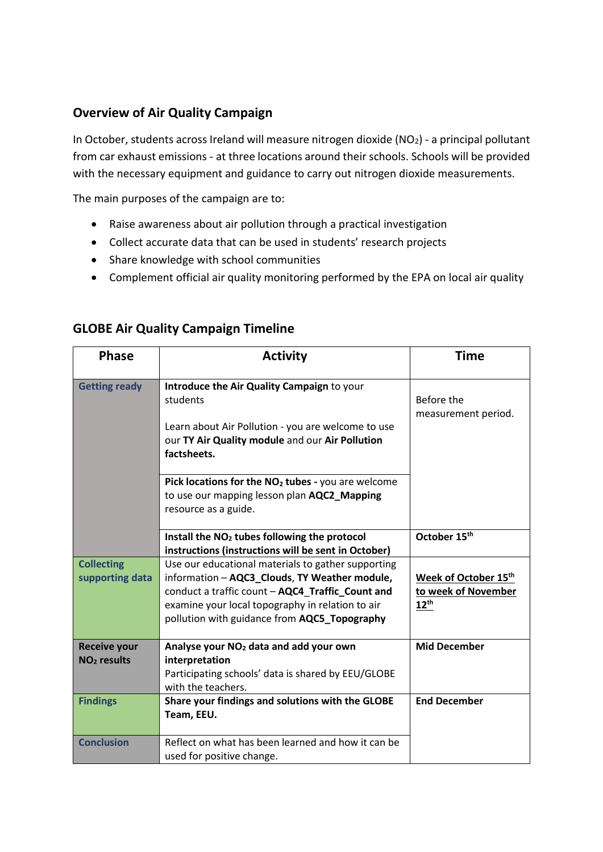## **Overview of Air Quality Campaign**

In October, students across Ireland will measure nitrogen dioxide  $(NO<sub>2</sub>)$  - a principal pollutant from car exhaust emissions - at three locations around their schools. Schools will be provided with the necessary equipment and guidance to carry out nitrogen dioxide measurements.

The main purposes of the campaign are to:

- Raise awareness about air pollution through a practical investigation
- Collect accurate data that can be used in students' research projects
- Share knowledge with school communities
- Complement official air quality monitoring performed by the EPA on local air quality

| <b>Phase</b>                         | <b>Activity</b>                                                                                                                                                                                                                                             | <b>Time</b>                                                     |
|--------------------------------------|-------------------------------------------------------------------------------------------------------------------------------------------------------------------------------------------------------------------------------------------------------------|-----------------------------------------------------------------|
| <b>Getting ready</b>                 | Introduce the Air Quality Campaign to your<br>students<br>Learn about Air Pollution - you are welcome to use<br>our TY Air Quality module and our Air Pollution<br>factsheets.                                                                              | Before the<br>measurement period.                               |
|                                      | Pick locations for the NO <sub>2</sub> tubes - you are welcome<br>to use our mapping lesson plan AQC2_Mapping<br>resource as a guide.                                                                                                                       |                                                                 |
|                                      | Install the NO <sub>2</sub> tubes following the protocol<br>instructions (instructions will be sent in October)                                                                                                                                             | October 15th                                                    |
| <b>Collecting</b><br>supporting data | Use our educational materials to gather supporting<br>information - AQC3_Clouds, TY Weather module,<br>conduct a traffic count - AQC4 Traffic Count and<br>examine your local topography in relation to air<br>pollution with guidance from AQC5_Topography | Week of October 15th<br>to week of November<br>$12^{\text{th}}$ |
| <b>Receive your</b><br>$NO2$ results | Analyse your NO <sub>2</sub> data and add your own<br>interpretation<br>Participating schools' data is shared by EEU/GLOBE<br>with the teachers.                                                                                                            | <b>Mid December</b>                                             |
| <b>Findings</b>                      | Share your findings and solutions with the GLOBE<br>Team, EEU.                                                                                                                                                                                              | <b>End December</b>                                             |
| <b>Conclusion</b>                    | Reflect on what has been learned and how it can be<br>used for positive change.                                                                                                                                                                             |                                                                 |

### **GLOBE Air Quality Campaign Timeline**